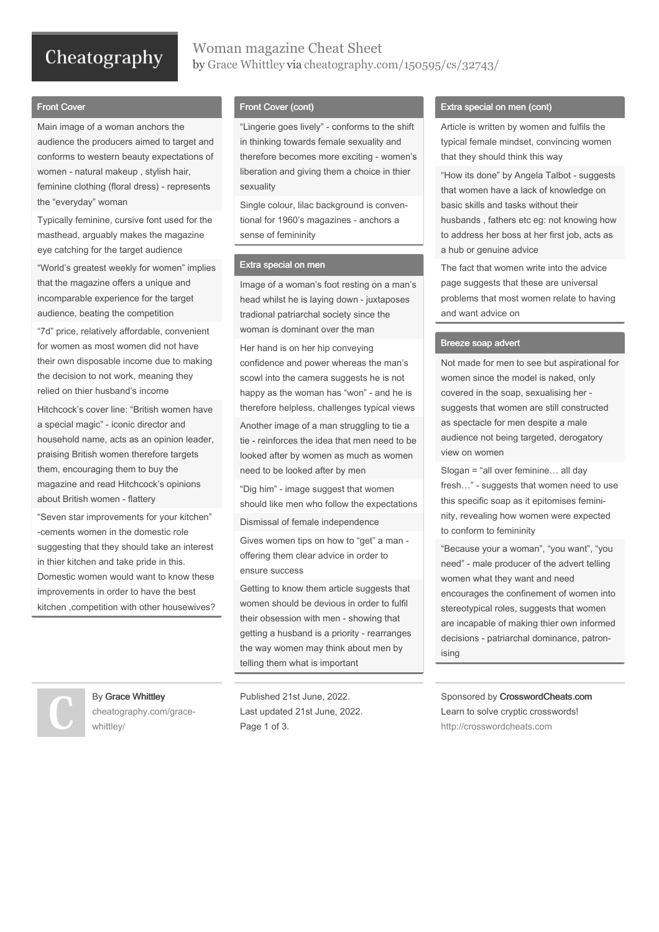# Cheatography

### Woman magazine Cheat Sheet by Grace [Whittley](http://www.cheatography.com/grace-whittley/) via [cheatography.com/150595/cs/32743/](http://www.cheatography.com/grace-whittley/cheat-sheets/woman-magazine)

#### Front Cover

Main image of a woman anchors the audience the producers aimed to target and conforms to western beauty expectations of women - natural makeup , stylish hair, feminine clothing (floral dress) - represents the "everyday" woman

Typically feminine, cursive font used for the masthead, arguably makes the magazine eye catching for the target audience

"World's greatest weekly for women" implies that the magazine offers a unique and incomparable experience for the target audience, beating the competition

"7d" price, relatively affordable, convenient for women as most women did not have their own disposable income due to making the decision to not work, meaning they relied on thier husband's income

Hitchcock's cover line: "British women have a special magic" - iconic director and household name, acts as an opinion leader, praising British women therefore targets them, encouraging them to buy the magazine and read Hitchcock's opinions about British women - flattery

"Seven star improvements for your kitchen" -cements women in the domestic role suggesting that they should take an interest in thier kitchen and take pride in this. Domestic women would want to know these improvements in order to have the best kitchen ,competition with other housewives?

#### Front Cover (cont)

"Lingerie goes lively" - conforms to the shift in thinking towards female sexuality and therefore becomes more exciting - women's liberation and giving them a choice in thier sexuality

Single colour, lilac background is conven‐ tional for 1960's magazines - anchors a sense of femininity

#### Extra special on men

Image of a woman's foot resting on a man's head whilst he is laying down - juxtaposes tradional patriarchal society since the woman is dominant over the man

Her hand is on her hip conveying confidence and power whereas the man's scowl into the camera suggests he is not happy as the woman has "won" - and he is therefore helpless, challenges typical views Another image of a man struggling to tie a tie - reinforces the idea that men need to be looked after by women as much as women need to be looked after by men

"Dig him" - image suggest that women should like men who follow the expectations

Dismissal of female independence

Gives women tips on how to "get" a man offering them clear advice in order to ensure success

Getting to know them article suggests that women should be devious in order to fulfil their obsession with men - showing that getting a husband is a priority - rearranges the way women may think about men by telling them what is important

Published 21st June, 2022. Last updated 21st June, 2022. Page 1 of 3.

#### Extra special on men (cont)

Article is written by women and fulfils the typical female mindset, convincing women that they should think this way

"How its done" by Angela Talbot - suggests that women have a lack of knowledge on basic skills and tasks without their husbands , fathers etc eg: not knowing how to address her boss at her first job, acts as a hub or genuine advice

The fact that women write into the advice page suggests that these are universal problems that most women relate to having and want advice on

#### Breeze soap advert

Not made for men to see but aspirational for women since the model is naked, only covered in the soap, sexualising her suggests that women are still constructed as spectacle for men despite a male audience not being targeted, derogatory view on women

Slogan = "all over feminine… all day fresh…" - suggests that women need to use this specific soap as it epitomises femini‐ nity, revealing how women were expected to conform to femininity

"Because your a woman", "you want", "you need" - male producer of the advert telling women what they want and need encourages the confinement of women into stereotypical roles, suggests that women are incapable of making thier own informed decisions - patriarchal dominance, patron‐ ising

Sponsored by CrosswordCheats.com Learn to solve cryptic crosswords! <http://crosswordcheats.com>



By Grace Whittley [cheatography.com/grace](http://www.cheatography.com/grace-whittley/)whittley/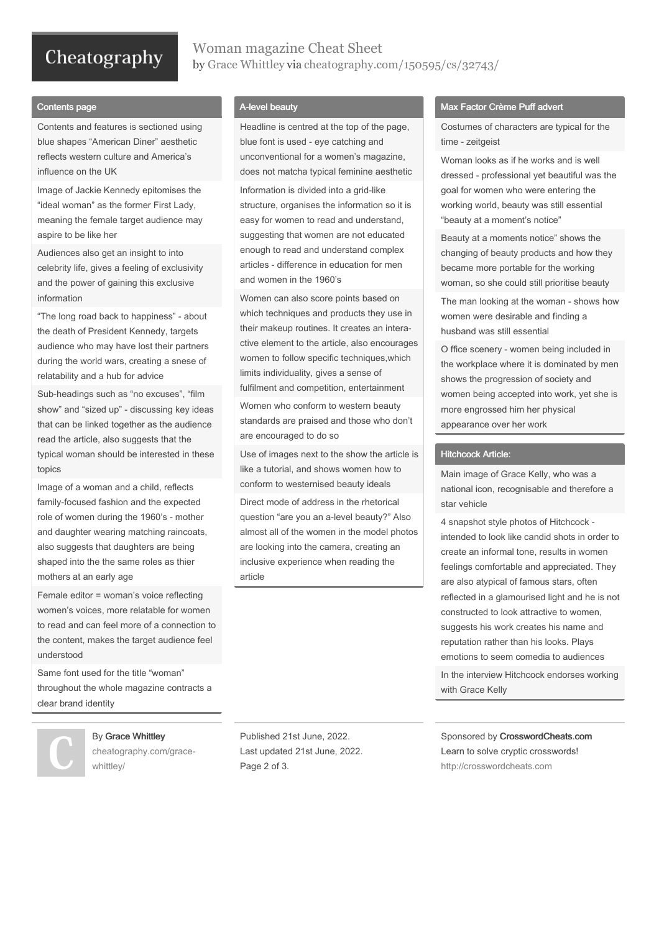# Cheatography

### Woman magazine Cheat Sheet by Grace [Whittley](http://www.cheatography.com/grace-whittley/) via [cheatography.com/150595/cs/32743/](http://www.cheatography.com/grace-whittley/cheat-sheets/woman-magazine)

#### Contents page

Contents and features is sectioned using blue shapes "American Diner" aesthetic reflects western culture and America's influence on the UK

Image of Jackie Kennedy epitomises the "ideal woman" as the former First Lady, meaning the female target audience may aspire to be like her

Audiences also get an insight to into celebrity life, gives a feeling of exclusivity and the power of gaining this exclusive information

"The long road back to happiness" - about the death of President Kennedy, targets audience who may have lost their partners during the world wars, creating a snese of relatability and a hub for advice

Sub-headings such as "no excuses", "film show" and "sized up" - discussing key ideas that can be linked together as the audience read the article, also suggests that the typical woman should be interested in these topics

Image of a woman and a child, reflects family-focused fashion and the expected role of women during the 1960's - mother and daughter wearing matching raincoats, also suggests that daughters are being shaped into the the same roles as thier mothers at an early age

Female editor = woman's voice reflecting women's voices, more relatable for women to read and can feel more of a connection to the content, makes the target audience feel understood

Same font used for the title "woman" throughout the whole magazine contracts a clear brand identity

#### By Grace Whittley

[cheatography.com/grace](http://www.cheatography.com/grace-whittley/)whittley/

A-level beauty

Headline is centred at the top of the page, blue font is used - eye catching and unconventional for a women's magazine, does not matcha typical feminine aesthetic Information is divided into a grid-like structure, organises the information so it is easy for women to read and understand, suggesting that women are not educated enough to read and understand complex articles - difference in education for men and women in the 1960's

Women can also score points based on which techniques and products they use in their makeup routines. It creates an intera‐ ctive element to the article, also encourages women to follow specific techniques,which limits individuality, gives a sense of fulfilment and competition, entertainment

Women who conform to western beauty standards are praised and those who don't are encouraged to do so

Use of images next to the show the article is like a tutorial, and shows women how to conform to westernised beauty ideals

Direct mode of address in the rhetorical question "are you an a-level beauty?" Also almost all of the women in the model photos are looking into the camera, creating an inclusive experience when reading the article

#### Max Factor Crème Puff advert

Costumes of characters are typical for the time - zeitgeist

Woman looks as if he works and is well dressed - professional yet beautiful was the goal for women who were entering the working world, beauty was still essential "beauty at a moment's notice"

Beauty at a moments notice" shows the changing of beauty products and how they became more portable for the working woman, so she could still prioritise beauty

The man looking at the woman - shows how women were desirable and finding a husband was still essential

O ffice scenery - women being included in the workplace where it is dominated by men shows the progression of society and women being accepted into work, yet she is more engrossed him her physical appearance over her work

#### Hitchcock Article:

Main image of Grace Kelly, who was a national icon, recognisable and therefore a star vehicle

4 snapshot style photos of Hitchcock intended to look like candid shots in order to create an informal tone, results in women feelings comfortable and appreciated. They are also atypical of famous stars, often reflected in a glamourised light and he is not constructed to look attractive to women, suggests his work creates his name and reputation rather than his looks. Plays emotions to seem comedia to audiences In the interview Hitchcock endorses working with Grace Kelly

Published 21st June, 2022. Last updated 21st June, 2022. Page 2 of 3.

Sponsored by CrosswordCheats.com Learn to solve cryptic crosswords! <http://crosswordcheats.com>